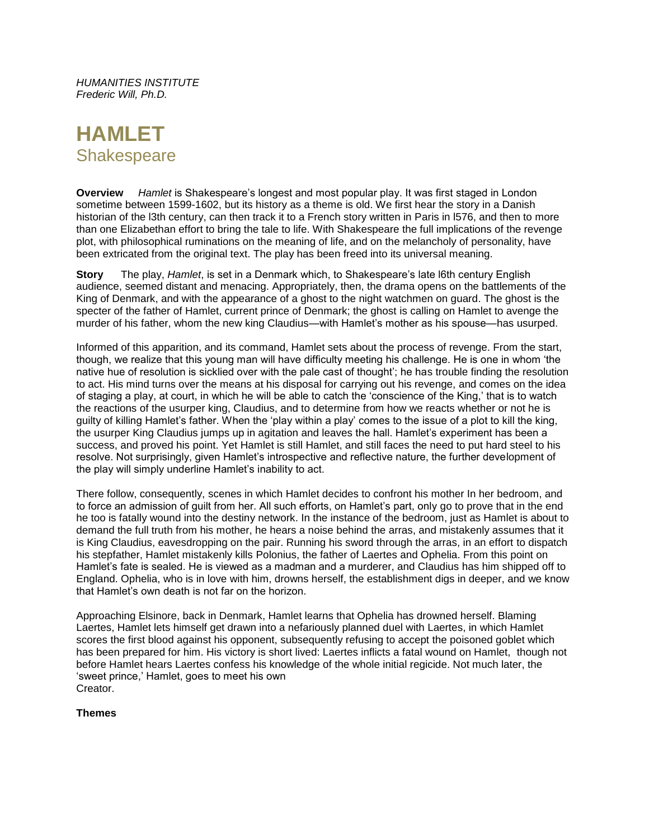*HUMANITIES INSTITUTE Frederic Will, Ph.D.*

# **HAMLET Shakespeare**

**Overview** *Hamlet* is Shakespeare's longest and most popular play. It was first staged in London sometime between 1599-1602, but its history as a theme is old. We first hear the story in a Danish historian of the l3th century, can then track it to a French story written in Paris in l576, and then to more than one Elizabethan effort to bring the tale to life. With Shakespeare the full implications of the revenge plot, with philosophical ruminations on the meaning of life, and on the melancholy of personality, have been extricated from the original text. The play has been freed into its universal meaning.

**Story** The play, *Hamlet*, is set in a Denmark which, to Shakespeare's late l6th century English audience, seemed distant and menacing. Appropriately, then, the drama opens on the battlements of the King of Denmark, and with the appearance of a ghost to the night watchmen on guard. The ghost is the specter of the father of Hamlet, current prince of Denmark; the ghost is calling on Hamlet to avenge the murder of his father, whom the new king Claudius—with Hamlet's mother as his spouse—has usurped.

Informed of this apparition, and its command, Hamlet sets about the process of revenge. From the start, though, we realize that this young man will have difficulty meeting his challenge. He is one in whom 'the native hue of resolution is sicklied over with the pale cast of thought'; he has trouble finding the resolution to act. His mind turns over the means at his disposal for carrying out his revenge, and comes on the idea of staging a play, at court, in which he will be able to catch the 'conscience of the King,' that is to watch the reactions of the usurper king, Claudius, and to determine from how we reacts whether or not he is guilty of killing Hamlet's father. When the 'play within a play' comes to the issue of a plot to kill the king, the usurper King Claudius jumps up in agitation and leaves the hall. Hamlet's experiment has been a success, and proved his point. Yet Hamlet is still Hamlet, and still faces the need to put hard steel to his resolve. Not surprisingly, given Hamlet's introspective and reflective nature, the further development of the play will simply underline Hamlet's inability to act.

There follow, consequently, scenes in which Hamlet decides to confront his mother In her bedroom, and to force an admission of guilt from her. All such efforts, on Hamlet's part, only go to prove that in the end he too is fatally wound into the destiny network. In the instance of the bedroom, just as Hamlet is about to demand the full truth from his mother, he hears a noise behind the arras, and mistakenly assumes that it is King Claudius, eavesdropping on the pair. Running his sword through the arras, in an effort to dispatch his stepfather, Hamlet mistakenly kills Polonius, the father of Laertes and Ophelia. From this point on Hamlet's fate is sealed. He is viewed as a madman and a murderer, and Claudius has him shipped off to England. Ophelia, who is in love with him, drowns herself, the establishment digs in deeper, and we know that Hamlet's own death is not far on the horizon.

Approaching Elsinore, back in Denmark, Hamlet learns that Ophelia has drowned herself. Blaming Laertes, Hamlet lets himself get drawn into a nefariously planned duel with Laertes, in which Hamlet scores the first blood against his opponent, subsequently refusing to accept the poisoned goblet which has been prepared for him. His victory is short lived: Laertes inflicts a fatal wound on Hamlet, though not before Hamlet hears Laertes confess his knowledge of the whole initial regicide. Not much later, the 'sweet prince,' Hamlet, goes to meet his own Creator.

## **Themes**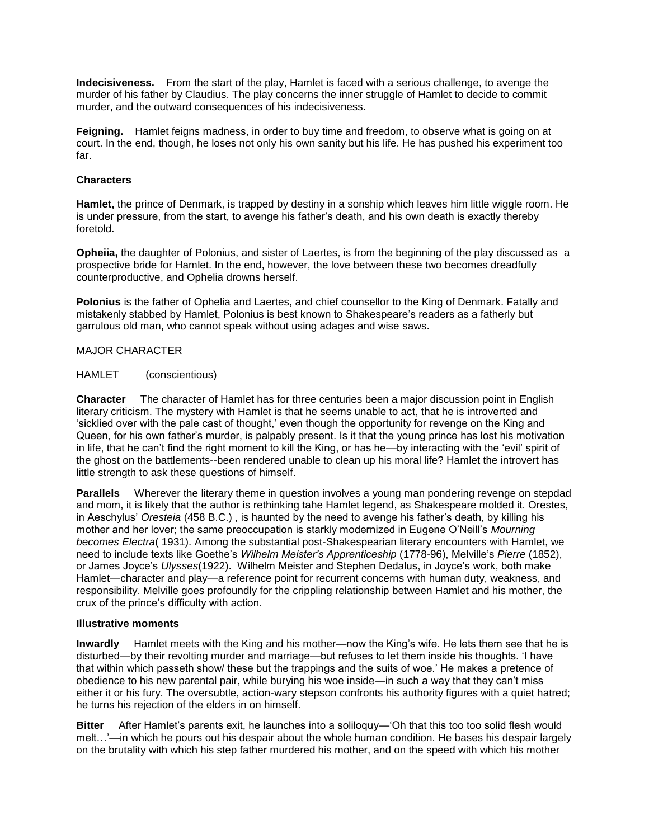**Indecisiveness.** From the start of the play, Hamlet is faced with a serious challenge, to avenge the murder of his father by Claudius. The play concerns the inner struggle of Hamlet to decide to commit murder, and the outward consequences of his indecisiveness.

**Feigning.** Hamlet feigns madness, in order to buy time and freedom, to observe what is going on at court. In the end, though, he loses not only his own sanity but his life. He has pushed his experiment too far.

## **Characters**

**Hamlet,** the prince of Denmark, is trapped by destiny in a sonship which leaves him little wiggle room. He is under pressure, from the start, to avenge his father's death, and his own death is exactly thereby foretold.

**Opheiia,** the daughter of Polonius, and sister of Laertes, is from the beginning of the play discussed as a prospective bride for Hamlet. In the end, however, the love between these two becomes dreadfully counterproductive, and Ophelia drowns herself.

**Polonius** is the father of Ophelia and Laertes, and chief counsellor to the King of Denmark. Fatally and mistakenly stabbed by Hamlet, Polonius is best known to Shakespeare's readers as a fatherly but garrulous old man, who cannot speak without using adages and wise saws.

## MAJOR CHARACTER

HAMLET (conscientious)

**Character** The character of Hamlet has for three centuries been a major discussion point in English literary criticism. The mystery with Hamlet is that he seems unable to act, that he is introverted and 'sicklied over with the pale cast of thought,' even though the opportunity for revenge on the King and Queen, for his own father's murder, is palpably present. Is it that the young prince has lost his motivation in life, that he can't find the right moment to kill the King, or has he—by interacting with the 'evil' spirit of the ghost on the battlements--been rendered unable to clean up his moral life? Hamlet the introvert has little strength to ask these questions of himself.

**Parallels** Wherever the literary theme in question involves a young man pondering revenge on stepdad and mom, it is likely that the author is rethinking tahe Hamlet legend, as Shakespeare molded it. Orestes, in Aeschylus' *Oresteia* (458 B.C.) , is haunted by the need to avenge his father's death, by killing his mother and her lover; the same preoccupation is starkly modernized in Eugene O'Neill's *Mourning becomes Electra*( 1931). Among the substantial post-Shakespearian literary encounters with Hamlet, we need to include texts like Goethe's *Wilhelm Meister's Apprenticeship* (1778-96), Melville's *Pierre* (1852), or James Joyce's *Ulysses*(1922). Wilhelm Meister and Stephen Dedalus, in Joyce's work, both make Hamlet—character and play—a reference point for recurrent concerns with human duty, weakness, and responsibility. Melville goes profoundly for the crippling relationship between Hamlet and his mother, the crux of the prince's difficulty with action.

## **Illustrative moments**

**Inwardly** Hamlet meets with the King and his mother—now the King's wife. He lets them see that he is disturbed—by their revolting murder and marriage—but refuses to let them inside his thoughts. 'I have that within which passeth show/ these but the trappings and the suits of woe.' He makes a pretence of obedience to his new parental pair, while burying his woe inside—in such a way that they can't miss either it or his fury. The oversubtle, action-wary stepson confronts his authority figures with a quiet hatred; he turns his rejection of the elders in on himself.

**Bitter** After Hamlet's parents exit, he launches into a soliloquy—'Oh that this too too solid flesh would melt…'—in which he pours out his despair about the whole human condition. He bases his despair largely on the brutality with which his step father murdered his mother, and on the speed with which his mother